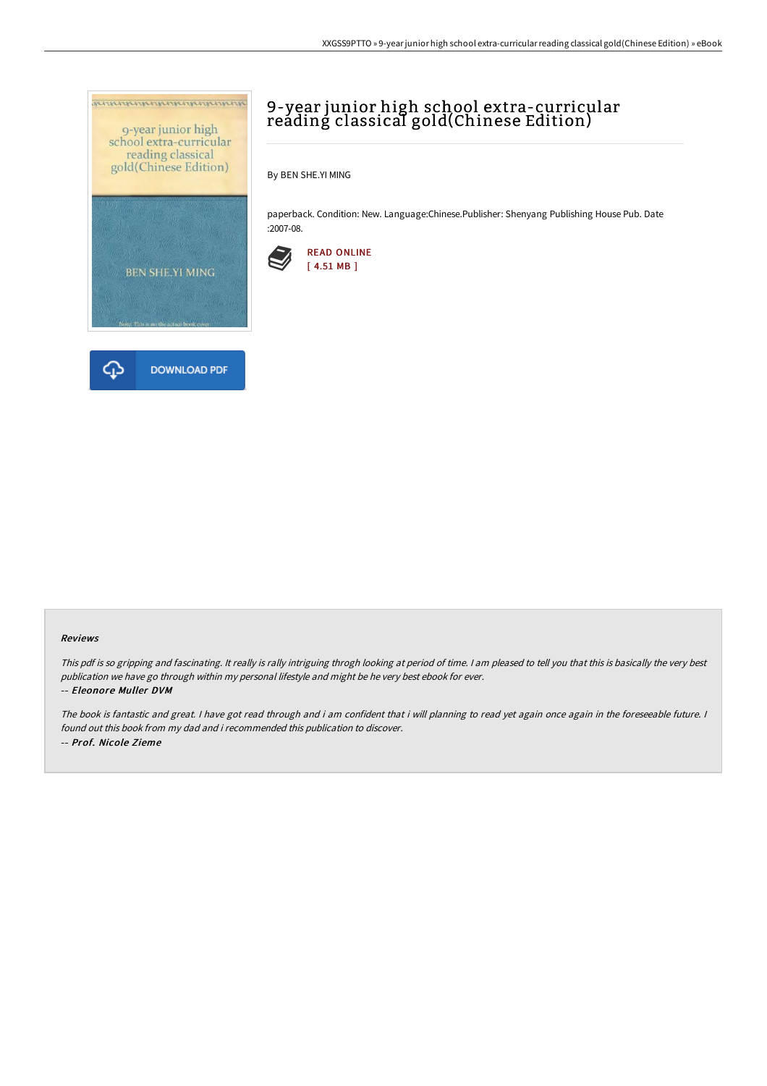



## 9-year junior high school extra-curricular reáding classical gold(Chinese Edition)

By BEN SHE.YI MING

paperback. Condition: New. Language:Chinese.Publisher: Shenyang Publishing House Pub. Date :2007-08.



## Reviews

This pdf is so gripping and fascinating. It really is rally intriguing throgh looking at period of time. <sup>I</sup> am pleased to tell you that this is basically the very best publication we have go through within my personal lifestyle and might be he very best ebook for ever.

## -- Eleonore Muller DVM

The book is fantastic and great. <sup>I</sup> have got read through and i am confident that i will planning to read yet again once again in the foreseeable future. <sup>I</sup> found out this book from my dad and i recommended this publication to discover. -- Prof. Nicole Zieme